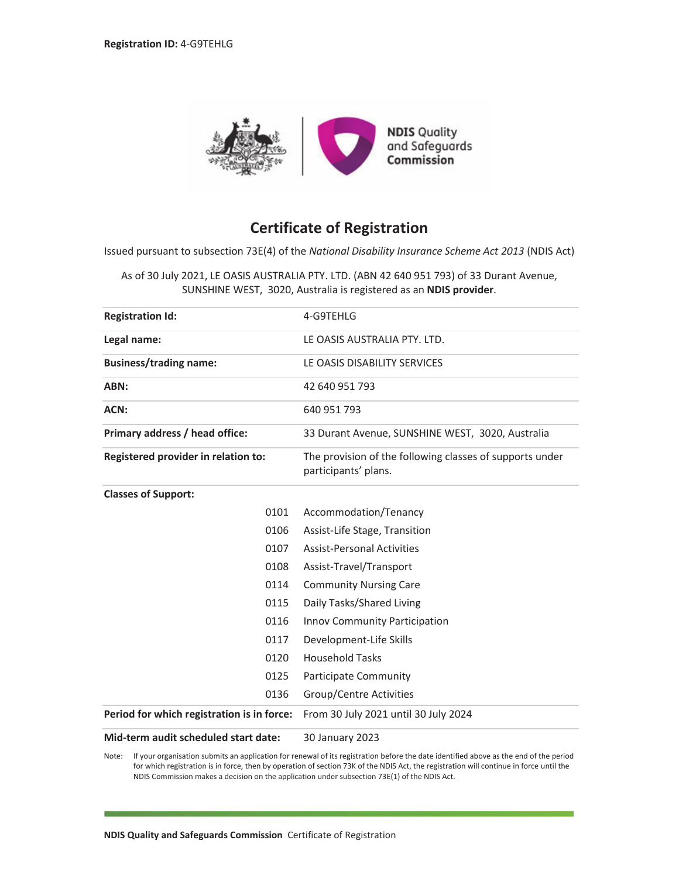

## **Certificate of Registration**

Issued pursuant to subsection 73E(4) of the *National Disability Insurance Scheme Act 2013* (NDIS Act)

As of 30 July 2021, LE OASIS AUSTRALIA PTY. LTD. (ABN 42 640 951 793) of 33 Durant Avenue, SUNSHINE WEST, 3020, Australia is registered as an **NDIS provider**.

| <b>Registration Id:</b>                    | 4-G9TEHLG                                                                        |
|--------------------------------------------|----------------------------------------------------------------------------------|
| Legal name:                                | LE OASIS AUSTRALIA PTY. LTD.                                                     |
| <b>Business/trading name:</b>              | LE OASIS DISABILITY SERVICES                                                     |
| ABN:                                       | 42 640 951 793                                                                   |
| ACN:                                       | 640 951 793                                                                      |
| Primary address / head office:             | 33 Durant Avenue, SUNSHINE WEST, 3020, Australia                                 |
| Registered provider in relation to:        | The provision of the following classes of supports under<br>participants' plans. |
| <b>Classes of Support:</b>                 |                                                                                  |
| 0101                                       | Accommodation/Tenancy                                                            |
| 0106                                       | Assist-Life Stage, Transition                                                    |
| 0107                                       | <b>Assist-Personal Activities</b>                                                |
| 0108                                       | Assist-Travel/Transport                                                          |
| 0114                                       | <b>Community Nursing Care</b>                                                    |
| 0115                                       | Daily Tasks/Shared Living                                                        |
| 0116                                       | Innov Community Participation                                                    |
| 0117                                       | Development-Life Skills                                                          |
| 0120                                       | <b>Household Tasks</b>                                                           |
| 0125                                       | Participate Community                                                            |
| 0136                                       | Group/Centre Activities                                                          |
| Period for which registration is in force: | From 30 July 2021 until 30 July 2024                                             |
| Mid-term audit scheduled start date:       | 30 January 2023                                                                  |

Note: If your organisation submits an application for renewal of its registration before the date identified above as the end of the period for which registration is in force, then by operation of section 73K of the NDIS Act, the registration will continue in force until the NDIS Commission makes a decision on the application under subsection 73E(1) of the NDIS Act.